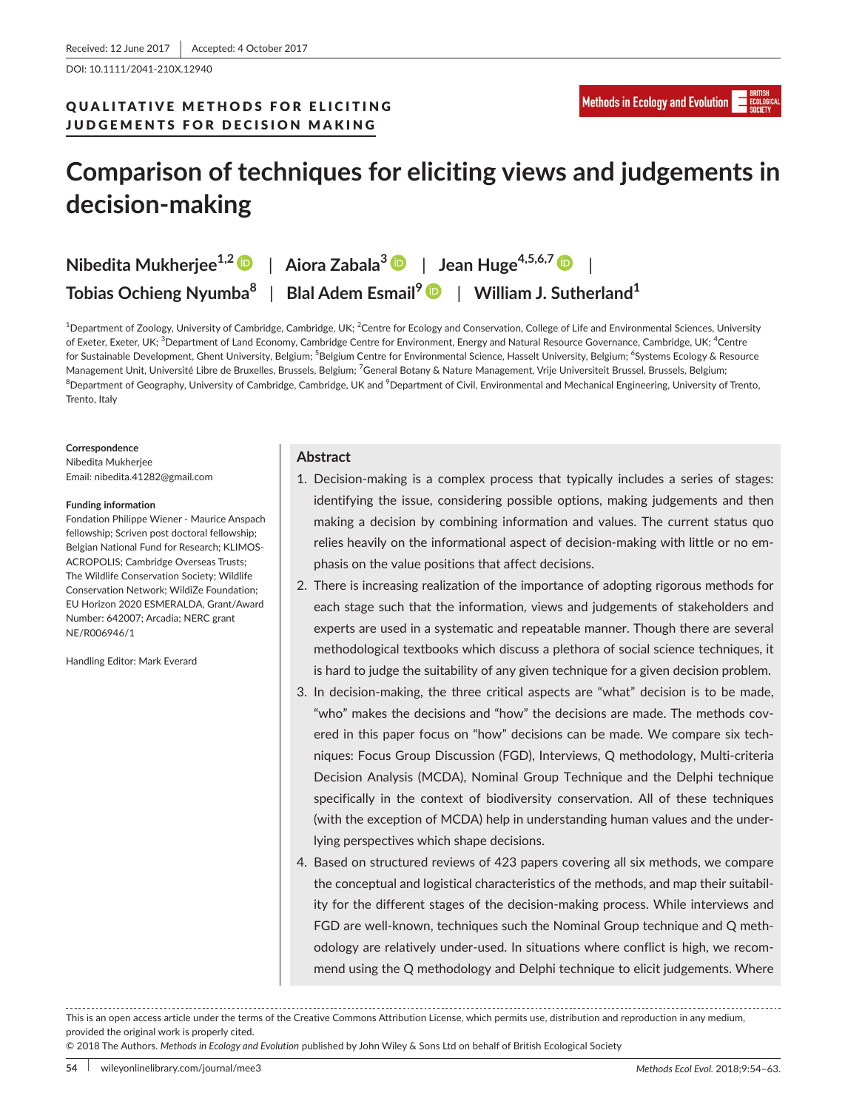DOI: 10.1111/2041-210X.12940

# QUALITATIVE METHODS FOR ELICITING JUDGEMENTS FOR DECISION MAKING

# **Comparison of techniques for eliciting views and judgements in decision-making**



<sup>1</sup>Department of Zoology, University of Cambridge, Cambridge, UK; <sup>2</sup>Centre for Ecology and Conservation, College of Life and Environmental Sciences, University of Exeter, Exeter, UK; <sup>3</sup>Department of Land Economy, Cambridge Centre for Environment, Energy and Natural Resource Governance, Cambridge, UK; <sup>4</sup>Centre for Sustainable Development, Ghent University, Belgium; <sup>5</sup>Belgium Centre for Environmental Science, Hasselt University, Belgium; <sup>6</sup>Systems Ecology & Resource Management Unit, Université Libre de Bruxelles, Brussels, Belgium; <sup>7</sup>General Botany & Nature Management, Vrije Universiteit Brussel, Brussels, Belgium; <sup>8</sup>Department of Geography, University of Cambridge, Cambridge, UK and <sup>9</sup>Department of Civil, Environmental and Mechanical Engineering, University of Trento, Trento, Italy

#### **Correspondence**

Nibedita Mukherjee Email: [nibedita.41282@gmail.com](mailto:nibedita.41282@gmail.com)

#### **Funding information**

Fondation Philippe Wiener - Maurice Anspach fellowship; Scriven post doctoral fellowship; Belgian National Fund for Research; KLIMOS-ACROPOLIS; Cambridge Overseas Trusts; The Wildlife Conservation Society; Wildlife Conservation Network; WildiZe Foundation; EU Horizon 2020 ESMERALDA, Grant/Award Number: 642007; Arcadia; NERC grant NE/R006946/1

Handling Editor: Mark Everard

# **Abstract**

- 1. Decision-making is a complex process that typically includes a series of stages: identifying the issue, considering possible options, making judgements and then making a decision by combining information and values. The current status quo relies heavily on the informational aspect of decision-making with little or no emphasis on the value positions that affect decisions.
- 2. There is increasing realization of the importance of adopting rigorous methods for each stage such that the information, views and judgements of stakeholders and experts are used in a systematic and repeatable manner. Though there are several methodological textbooks which discuss a plethora of social science techniques, it is hard to judge the suitability of any given technique for a given decision problem.
- 3. In decision-making, the three critical aspects are "what" decision is to be made, "who" makes the decisions and "how" the decisions are made. The methods covered in this paper focus on "how" decisions can be made. We compare six techniques: Focus Group Discussion (FGD), Interviews, Q methodology, Multi-criteria Decision Analysis (MCDA), Nominal Group Technique and the Delphi technique specifically in the context of biodiversity conservation. All of these techniques (with the exception of MCDA) help in understanding human values and the underlying perspectives which shape decisions.
- 4. Based on structured reviews of 423 papers covering all six methods, we compare the conceptual and logistical characteristics of the methods, and map their suitability for the different stages of the decision-making process. While interviews and FGD are well-known, techniques such the Nominal Group technique and Q methodology are relatively under-used. In situations where conflict is high, we recommend using the Q methodology and Delphi technique to elicit judgements. Where

© 2018 The Authors. *Methods in Ecology and Evolution* published by John Wiley & Sons Ltd on behalf of British Ecological Society

<sup>. . . . . . . . . . .</sup> This is an open access article under the terms of the [Creative Commons Attribution](http://creativecommons.org/licenses/by/4.0/) License, which permits use, distribution and reproduction in any medium, provided the original work is properly cited.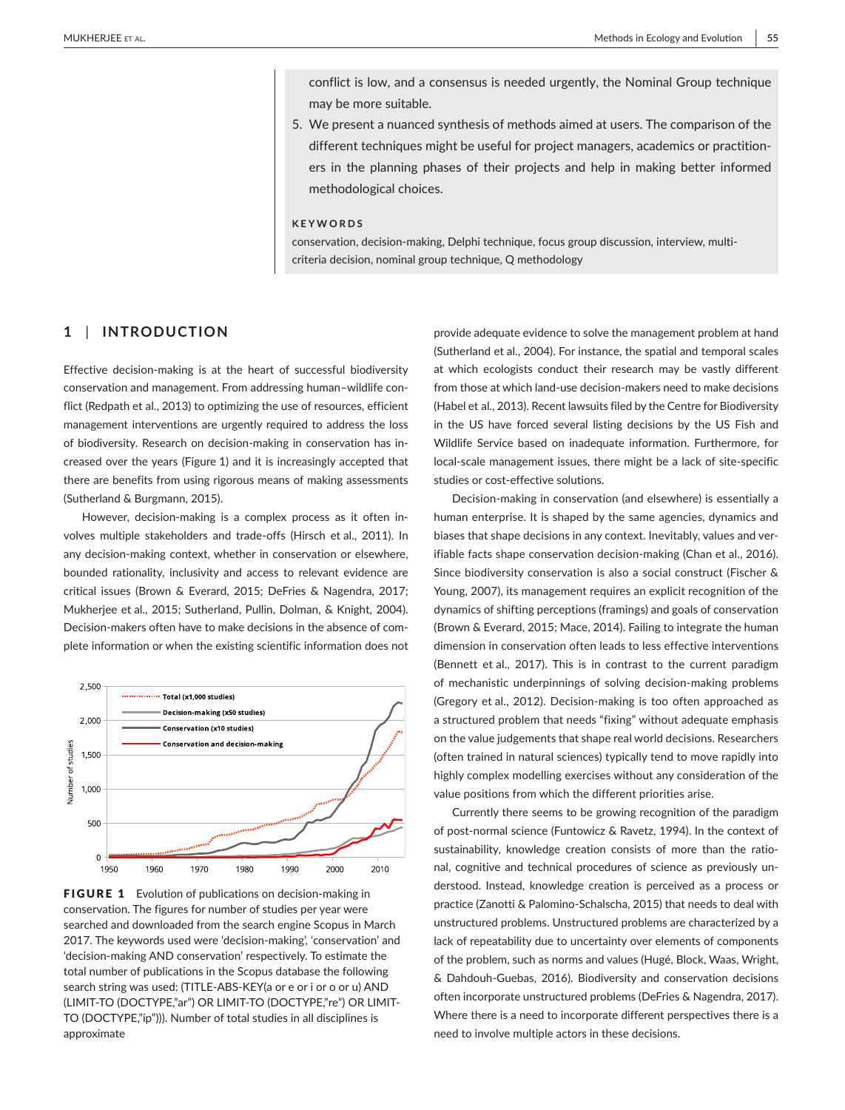conflict is low, and a consensus is needed urgently, the Nominal Group technique may be more suitable.

5. We present a nuanced synthesis of methods aimed at users. The comparison of the different techniques might be useful for project managers, academics or practitioners in the planning phases of their projects and help in making better informed methodological choices.

#### **KEYWORDS**

conservation, decision-making, Delphi technique, focus group discussion, interview, multicriteria decision, nominal group technique, Q methodology

## **1** | **INTRODUCTION**

Effective decision-making is at the heart of successful biodiversity conservation and management. From addressing human–wildlife conflict (Redpath et al., 2013) to optimizing the use of resources, efficient management interventions are urgently required to address the loss of biodiversity. Research on decision-making in conservation has increased over the years (Figure 1) and it is increasingly accepted that there are benefits from using rigorous means of making assessments (Sutherland & Burgmann, 2015).

However, decision-making is a complex process as it often involves multiple stakeholders and trade-offs (Hirsch et al., 2011). In any decision-making context, whether in conservation or elsewhere, bounded rationality, inclusivity and access to relevant evidence are critical issues (Brown & Everard, 2015; DeFries & Nagendra, 2017; Mukherjee et al., 2015; Sutherland, Pullin, Dolman, & Knight, 2004). Decision-makers often have to make decisions in the absence of complete information or when the existing scientific information does not



FIGURE 1 Evolution of publications on decision-making in conservation. The figures for number of studies per year were searched and downloaded from the search engine Scopus in March 2017. The keywords used were 'decision-making', 'conservation' and 'decision-making AND conservation' respectively. To estimate the total number of publications in the Scopus database the following search string was used: (TITLE-ABS-KEY(a or e or i or o or u) AND (LIMIT-TO (DOCTYPE,"ar") OR LIMIT-TO (DOCTYPE,"re") OR LIMIT-TO (DOCTYPE,"ip"))). Number of total studies in all disciplines is approximate

provide adequate evidence to solve the management problem at hand (Sutherland et al., 2004). For instance, the spatial and temporal scales at which ecologists conduct their research may be vastly different from those at which land-use decision-makers need to make decisions (Habel et al., 2013). Recent lawsuits filed by the Centre for Biodiversity in the US have forced several listing decisions by the US Fish and Wildlife Service based on inadequate information. Furthermore, for local-scale management issues, there might be a lack of site-specific studies or cost-effective solutions.

Decision-making in conservation (and elsewhere) is essentially a human enterprise. It is shaped by the same agencies, dynamics and biases that shape decisions in any context. Inevitably, values and verifiable facts shape conservation decision-making (Chan et al., 2016). Since biodiversity conservation is also a social construct (Fischer & Young, 2007), its management requires an explicit recognition of the dynamics of shifting perceptions (framings) and goals of conservation (Brown & Everard, 2015; Mace, 2014). Failing to integrate the human dimension in conservation often leads to less effective interventions (Bennett et al., 2017). This is in contrast to the current paradigm of mechanistic underpinnings of solving decision-making problems (Gregory et al., 2012). Decision-making is too often approached as a structured problem that needs "fixing" without adequate emphasis on the value judgements that shape real world decisions. Researchers (often trained in natural sciences) typically tend to move rapidly into highly complex modelling exercises without any consideration of the value positions from which the different priorities arise.

Currently there seems to be growing recognition of the paradigm of post-normal science (Funtowicz & Ravetz, 1994). In the context of sustainability, knowledge creation consists of more than the rational, cognitive and technical procedures of science as previously understood. Instead, knowledge creation is perceived as a process or practice (Zanotti & Palomino-Schalscha, 2015) that needs to deal with unstructured problems. Unstructured problems are characterized by a lack of repeatability due to uncertainty over elements of components of the problem, such as norms and values (Hugé, Block, Waas, Wright, & Dahdouh-Guebas, 2016). Biodiversity and conservation decisions often incorporate unstructured problems (DeFries & Nagendra, 2017). Where there is a need to incorporate different perspectives there is a need to involve multiple actors in these decisions.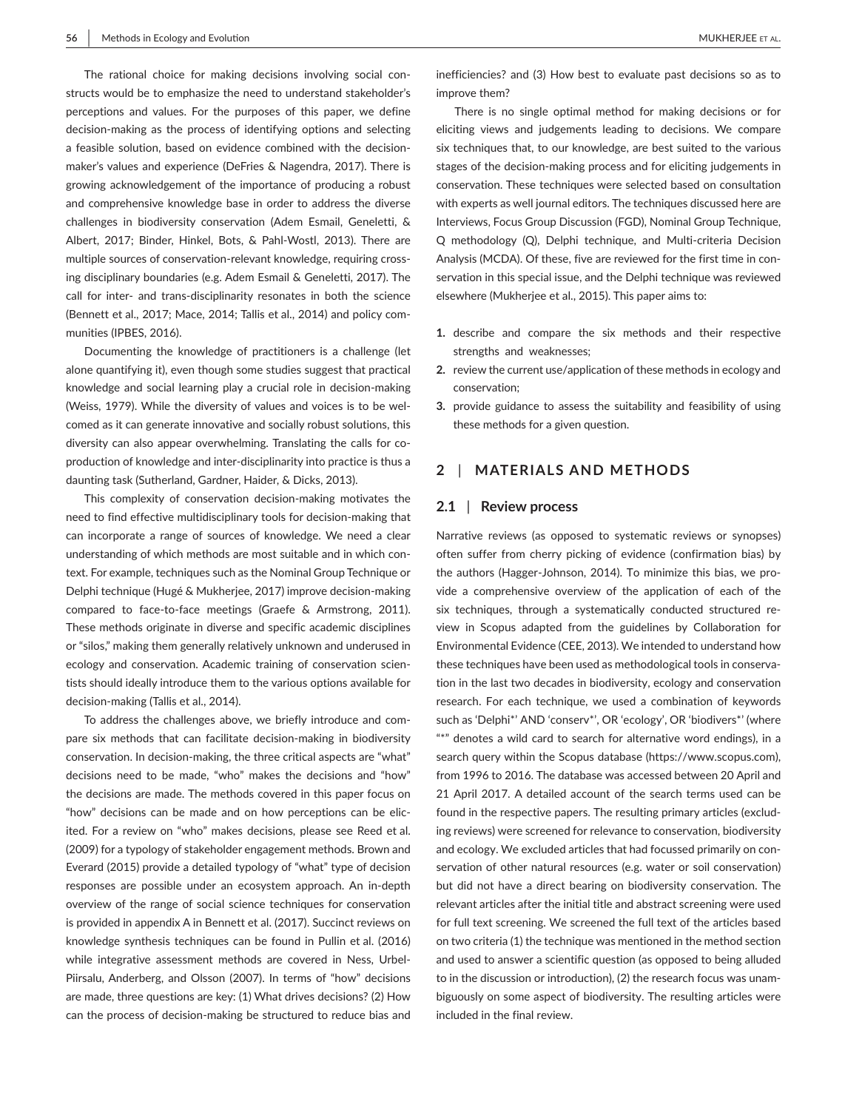The rational choice for making decisions involving social constructs would be to emphasize the need to understand stakeholder's perceptions and values. For the purposes of this paper, we define decision-making as the process of identifying options and selecting a feasible solution, based on evidence combined with the decisionmaker's values and experience (DeFries & Nagendra, 2017). There is growing acknowledgement of the importance of producing a robust and comprehensive knowledge base in order to address the diverse challenges in biodiversity conservation (Adem Esmail, Geneletti, & Albert, 2017; Binder, Hinkel, Bots, & Pahl-Wostl, 2013). There are multiple sources of conservation-relevant knowledge, requiring crossing disciplinary boundaries (e.g. Adem Esmail & Geneletti, 2017). The call for inter- and trans-disciplinarity resonates in both the science (Bennett et al., 2017; Mace, 2014; Tallis et al., 2014) and policy communities (IPBES, 2016).

Documenting the knowledge of practitioners is a challenge (let alone quantifying it), even though some studies suggest that practical knowledge and social learning play a crucial role in decision-making (Weiss, 1979). While the diversity of values and voices is to be welcomed as it can generate innovative and socially robust solutions, this diversity can also appear overwhelming. Translating the calls for coproduction of knowledge and inter-disciplinarity into practice is thus a daunting task (Sutherland, Gardner, Haider, & Dicks, 2013).

This complexity of conservation decision-making motivates the need to find effective multidisciplinary tools for decision-making that can incorporate a range of sources of knowledge. We need a clear understanding of which methods are most suitable and in which context. For example, techniques such as the Nominal Group Technique or Delphi technique (Hugé & Mukherjee, 2017) improve decision-making compared to face-to-face meetings (Graefe & Armstrong, 2011). These methods originate in diverse and specific academic disciplines or "silos," making them generally relatively unknown and underused in ecology and conservation. Academic training of conservation scientists should ideally introduce them to the various options available for decision-making (Tallis et al., 2014).

To address the challenges above, we briefly introduce and compare six methods that can facilitate decision-making in biodiversity conservation. In decision-making, the three critical aspects are "what" decisions need to be made, "who" makes the decisions and "how" the decisions are made. The methods covered in this paper focus on "how" decisions can be made and on how perceptions can be elicited. For a review on "who" makes decisions, please see Reed et al. (2009) for a typology of stakeholder engagement methods. Brown and Everard (2015) provide a detailed typology of "what" type of decision responses are possible under an ecosystem approach. An in-depth overview of the range of social science techniques for conservation is provided in appendix A in Bennett et al. (2017). Succinct reviews on knowledge synthesis techniques can be found in Pullin et al. (2016) while integrative assessment methods are covered in Ness, Urbel-Piirsalu, Anderberg, and Olsson (2007). In terms of "how" decisions are made, three questions are key: (1) What drives decisions? (2) How can the process of decision-making be structured to reduce bias and

inefficiencies? and (3) How best to evaluate past decisions so as to improve them?

There is no single optimal method for making decisions or for eliciting views and judgements leading to decisions. We compare six techniques that, to our knowledge, are best suited to the various stages of the decision-making process and for eliciting judgements in conservation. These techniques were selected based on consultation with experts as well journal editors. The techniques discussed here are Interviews, Focus Group Discussion (FGD), Nominal Group Technique, Q methodology (Q), Delphi technique, and Multi-criteria Decision Analysis (MCDA). Of these, five are reviewed for the first time in conservation in this special issue, and the Delphi technique was reviewed elsewhere (Mukherjee et al., 2015). This paper aims to:

- **1.** describe and compare the six methods and their respective strengths and weaknesses;
- **2.** review the current use/application of these methods in ecology and conservation;
- **3.** provide guidance to assess the suitability and feasibility of using these methods for a given question.

# **2** | **MATERIALS AND METHODS**

## **2.1** | **Review process**

Narrative reviews (as opposed to systematic reviews or synopses) often suffer from cherry picking of evidence (confirmation bias) by the authors (Hagger-Johnson, 2014). To minimize this bias, we provide a comprehensive overview of the application of each of the six techniques, through a systematically conducted structured review in Scopus adapted from the guidelines by Collaboration for Environmental Evidence (CEE, 2013). We intended to understand how these techniques have been used as methodological tools in conservation in the last two decades in biodiversity, ecology and conservation research. For each technique, we used a combination of keywords such as 'Delphi\*' AND 'conserv\*', OR 'ecology', OR 'biodivers\*' (where "\*" denotes a wild card to search for alternative word endings), in a search query within the Scopus database [\(https://www.scopus.com\)](https://www.scopus.com), from 1996 to 2016. The database was accessed between 20 April and 21 April 2017. A detailed account of the search terms used can be found in the respective papers. The resulting primary articles (excluding reviews) were screened for relevance to conservation, biodiversity and ecology. We excluded articles that had focussed primarily on conservation of other natural resources (e.g. water or soil conservation) but did not have a direct bearing on biodiversity conservation. The relevant articles after the initial title and abstract screening were used for full text screening. We screened the full text of the articles based on two criteria (1) the technique was mentioned in the method section and used to answer a scientific question (as opposed to being alluded to in the discussion or introduction), (2) the research focus was unambiguously on some aspect of biodiversity. The resulting articles were included in the final review.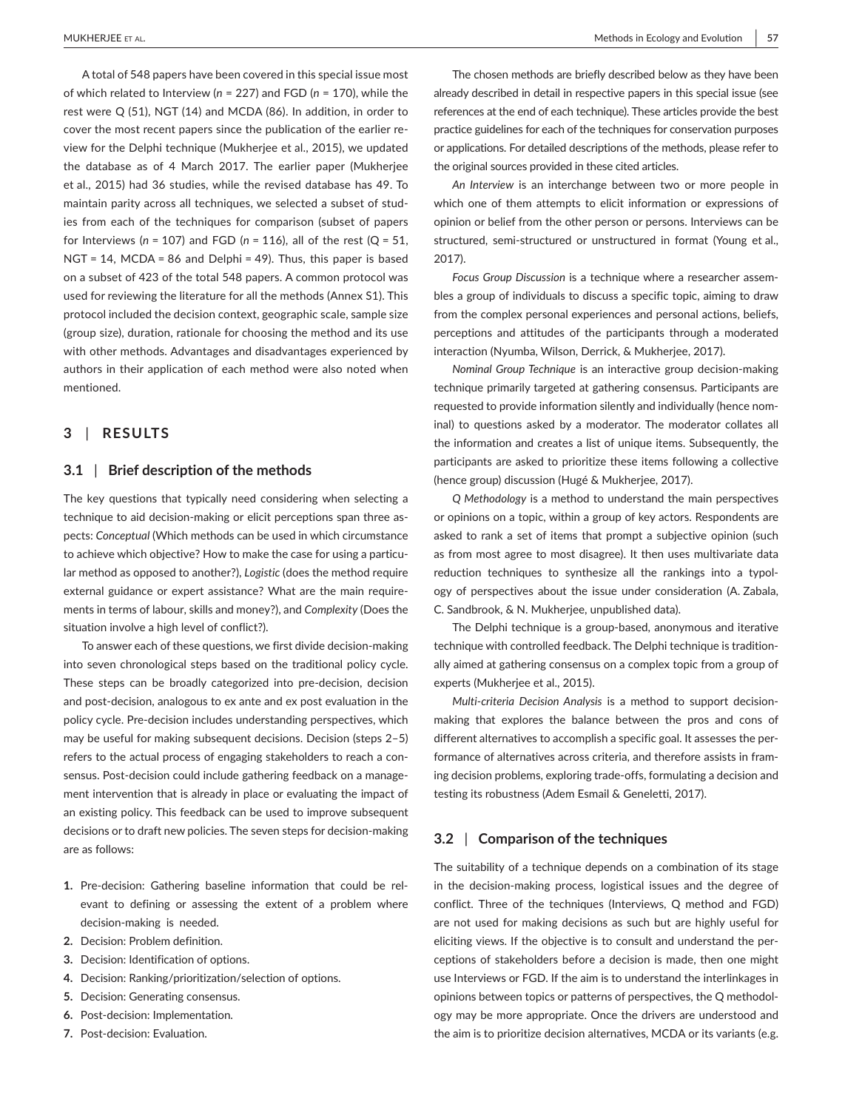A total of 548 papers have been covered in this special issue most of which related to Interview (*n* = 227) and FGD (*n* = 170), while the rest were Q (51), NGT (14) and MCDA (86). In addition, in order to cover the most recent papers since the publication of the earlier review for the Delphi technique (Mukherjee et al., 2015), we updated the database as of 4 March 2017. The earlier paper (Mukherjee et al., 2015) had 36 studies, while the revised database has 49. To maintain parity across all techniques, we selected a subset of studies from each of the techniques for comparison (subset of papers for Interviews ( $n = 107$ ) and FGD ( $n = 116$ ), all of the rest ( $Q = 51$ , NGT = 14, MCDA = 86 and Delphi = 49). Thus, this paper is based on a subset of 423 of the total 548 papers. A common protocol was used for reviewing the literature for all the methods (Annex S1). This protocol included the decision context, geographic scale, sample size (group size), duration, rationale for choosing the method and its use with other methods. Advantages and disadvantages experienced by authors in their application of each method were also noted when mentioned.

# **3** | **RESULTS**

## **3.1** | **Brief description of the methods**

The key questions that typically need considering when selecting a technique to aid decision-making or elicit perceptions span three aspects: *Conceptual* (Which methods can be used in which circumstance to achieve which objective? How to make the case for using a particular method as opposed to another?), *Logistic* (does the method require external guidance or expert assistance? What are the main requirements in terms of labour, skills and money?), and *Complexity* (Does the situation involve a high level of conflict?).

To answer each of these questions, we first divide decision-making into seven chronological steps based on the traditional policy cycle. These steps can be broadly categorized into pre-decision, decision and post-decision, analogous to ex ante and ex post evaluation in the policy cycle. Pre-decision includes understanding perspectives, which may be useful for making subsequent decisions. Decision (steps 2-5) refers to the actual process of engaging stakeholders to reach a consensus. Post-decision could include gathering feedback on a management intervention that is already in place or evaluating the impact of an existing policy. This feedback can be used to improve subsequent decisions or to draft new policies. The seven steps for decision-making are as follows:

- **1.** Pre-decision: Gathering baseline information that could be relevant to defining or assessing the extent of a problem where decision-making is needed.
- **2.** Decision: Problem definition.
- **3.** Decision: Identification of options.
- **4.** Decision: Ranking/prioritization/selection of options.
- **5.** Decision: Generating consensus.
- **6.** Post-decision: Implementation.
- **7.** Post-decision: Evaluation.

The chosen methods are briefly described below as they have been already described in detail in respective papers in this special issue (see references at the end of each technique). These articles provide the best practice guidelines for each of the techniques for conservation purposes or applications. For detailed descriptions of the methods, please refer to the original sources provided in these cited articles.

*An Interview* is an interchange between two or more people in which one of them attempts to elicit information or expressions of opinion or belief from the other person or persons. Interviews can be structured, semi-structured or unstructured in format (Young et al., 2017).

*Focus Group Discussion* is a technique where a researcher assembles a group of individuals to discuss a specific topic, aiming to draw from the complex personal experiences and personal actions, beliefs, perceptions and attitudes of the participants through a moderated interaction (Nyumba, Wilson, Derrick, & Mukherjee, 2017).

*Nominal Group Technique* is an interactive group decision-making technique primarily targeted at gathering consensus. Participants are requested to provide information silently and individually (hence nominal) to questions asked by a moderator. The moderator collates all the information and creates a list of unique items. Subsequently, the participants are asked to prioritize these items following a collective (hence group) discussion (Hugé & Mukherjee, 2017).

*Q Methodology* is a method to understand the main perspectives or opinions on a topic, within a group of key actors. Respondents are asked to rank a set of items that prompt a subjective opinion (such as from most agree to most disagree). It then uses multivariate data reduction techniques to synthesize all the rankings into a typology of perspectives about the issue under consideration (A. Zabala, C. Sandbrook, & N. Mukherjee, unpublished data).

The Delphi technique is a group-based, anonymous and iterative technique with controlled feedback. The Delphi technique is traditionally aimed at gathering consensus on a complex topic from a group of experts (Mukherjee et al., 2015).

*Multi-criteria Decision Analysis* is a method to support decisionmaking that explores the balance between the pros and cons of different alternatives to accomplish a specific goal. It assesses the performance of alternatives across criteria, and therefore assists in framing decision problems, exploring trade-offs, formulating a decision and testing its robustness (Adem Esmail & Geneletti, 2017).

## **3.2** | **Comparison of the techniques**

The suitability of a technique depends on a combination of its stage in the decision-making process, logistical issues and the degree of conflict. Three of the techniques (Interviews, Q method and FGD) are not used for making decisions as such but are highly useful for eliciting views. If the objective is to consult and understand the perceptions of stakeholders before a decision is made, then one might use Interviews or FGD. If the aim is to understand the interlinkages in opinions between topics or patterns of perspectives, the Q methodology may be more appropriate. Once the drivers are understood and the aim is to prioritize decision alternatives, MCDA or its variants (e.g.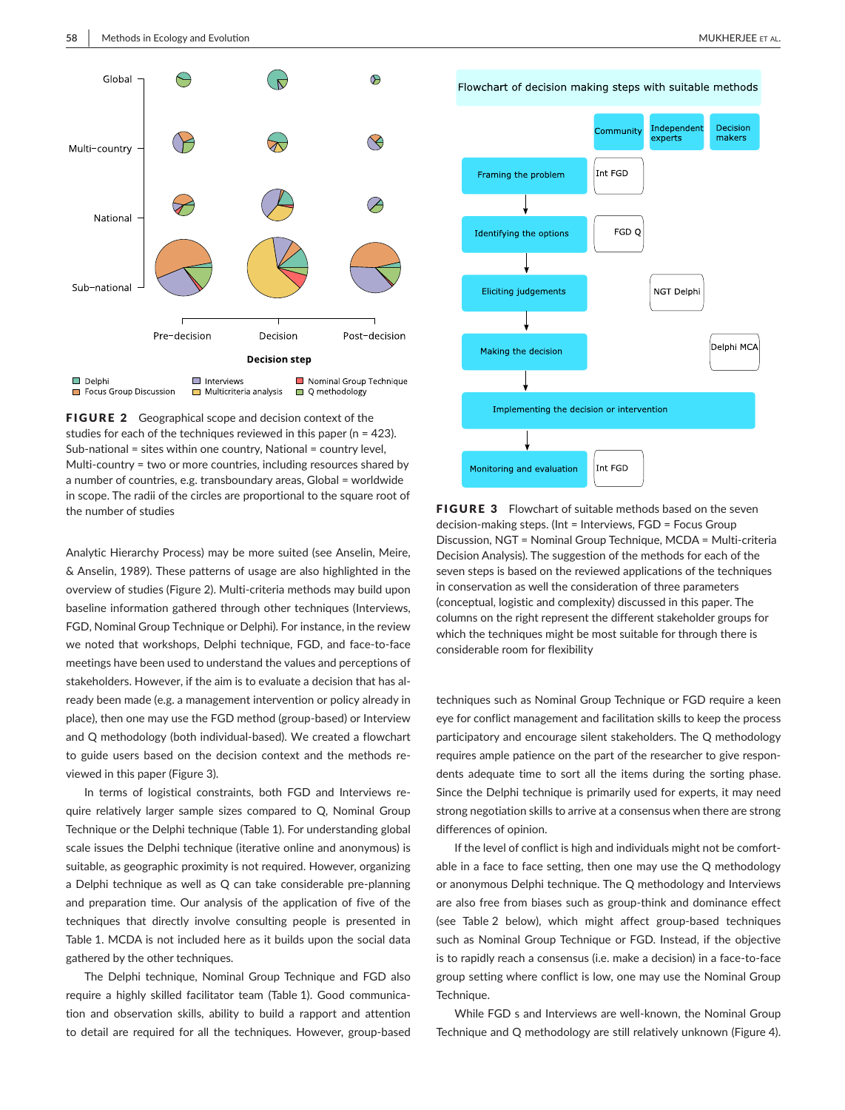

FIGURE 2 Geographical scope and decision context of the studies for each of the techniques reviewed in this paper (n = 423). Sub-national = sites within one country, National = country level, Multi-country = two or more countries, including resources shared by a number of countries, e.g. transboundary areas, Global = worldwide in scope. The radii of the circles are proportional to the square root of the number of studies FIGURE 3 Flowchart of suitable methods based on the seven

Analytic Hierarchy Process) may be more suited (see Anselin, Meire, & Anselin, 1989). These patterns of usage are also highlighted in the overview of studies (Figure 2). Multi-criteria methods may build upon baseline information gathered through other techniques (Interviews, FGD, Nominal Group Technique or Delphi). For instance, in the review we noted that workshops, Delphi technique, FGD, and face-to-face meetings have been used to understand the values and perceptions of stakeholders. However, if the aim is to evaluate a decision that has already been made (e.g. a management intervention or policy already in place), then one may use the FGD method (group-based) or Interview and Q methodology (both individual-based). We created a flowchart to guide users based on the decision context and the methods reviewed in this paper (Figure 3).

In terms of logistical constraints, both FGD and Interviews require relatively larger sample sizes compared to Q, Nominal Group Technique or the Delphi technique (Table 1). For understanding global scale issues the Delphi technique (iterative online and anonymous) is suitable, as geographic proximity is not required. However, organizing a Delphi technique as well as Q can take considerable pre-planning and preparation time. Our analysis of the application of five of the techniques that directly involve consulting people is presented in Table 1. MCDA is not included here as it builds upon the social data gathered by the other techniques.

The Delphi technique, Nominal Group Technique and FGD also require a highly skilled facilitator team (Table 1). Good communication and observation skills, ability to build a rapport and attention to detail are required for all the techniques. However, group-based

Flowchart of decision making steps with suitable methods



decision-making steps. (Int = Interviews, FGD = Focus Group Discussion, NGT = Nominal Group Technique, MCDA = Multi-criteria Decision Analysis). The suggestion of the methods for each of the seven steps is based on the reviewed applications of the techniques in conservation as well the consideration of three parameters (conceptual, logistic and complexity) discussed in this paper. The columns on the right represent the different stakeholder groups for which the techniques might be most suitable for through there is considerable room for flexibility

techniques such as Nominal Group Technique or FGD require a keen eye for conflict management and facilitation skills to keep the process participatory and encourage silent stakeholders. The Q methodology requires ample patience on the part of the researcher to give respondents adequate time to sort all the items during the sorting phase. Since the Delphi technique is primarily used for experts, it may need strong negotiation skills to arrive at a consensus when there are strong differences of opinion.

If the level of conflict is high and individuals might not be comfortable in a face to face setting, then one may use the Q methodology or anonymous Delphi technique. The Q methodology and Interviews are also free from biases such as group-think and dominance effect (see Table 2 below), which might affect group-based techniques such as Nominal Group Technique or FGD. Instead, if the objective is to rapidly reach a consensus (i.e. make a decision) in a face-to-face group setting where conflict is low, one may use the Nominal Group Technique.

While FGD s and Interviews are well-known, the Nominal Group Technique and Q methodology are still relatively unknown (Figure 4).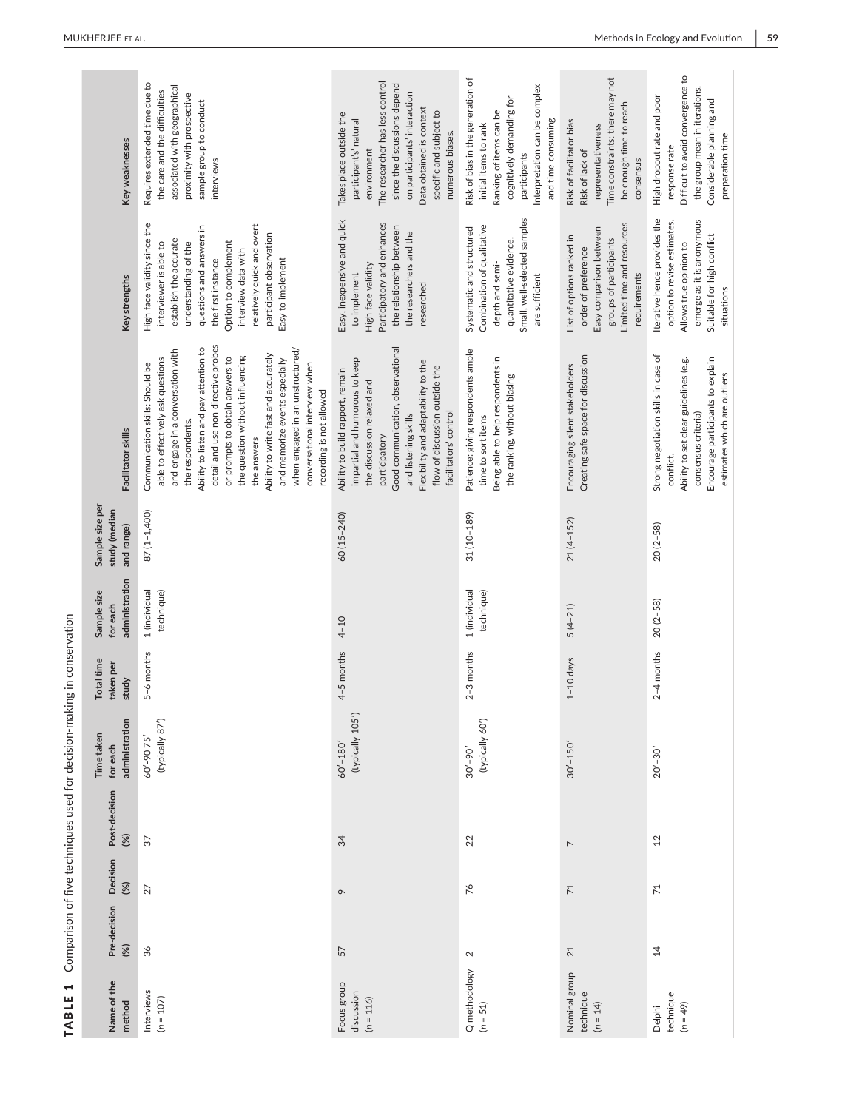|                                                                        | Key weaknesses                                 | Requires extended time due to<br>associated with geographical<br>the care and the difficulties<br>proximity with prospective<br>sample group to conduct<br>interviews                                                                                                                                                                                                                                                                                                           | The researcher has less control<br>since the discussions depend<br>on participants' interaction<br>Data obtained is context<br>specific and subject to<br>Takes place outside the<br>participant's' natural<br>numerous biases.<br>environment                                   | Risk of bias in the generation of<br>Interpretation can be complex<br>cognitively demanding for<br>Ranking of items can be<br>and time-consuming<br>initial items to rank<br>participants | Time constraints: there may not<br>be enough time to reach<br>Risk of facilitator bias<br>representativeness<br>Risk of lack of<br>consensus        | Difficult to avoid convergence to<br>the group mean in iterations.<br>High dropout rate and poor<br>Considerable planning and<br>preparation time<br>response rate.                    |
|------------------------------------------------------------------------|------------------------------------------------|---------------------------------------------------------------------------------------------------------------------------------------------------------------------------------------------------------------------------------------------------------------------------------------------------------------------------------------------------------------------------------------------------------------------------------------------------------------------------------|----------------------------------------------------------------------------------------------------------------------------------------------------------------------------------------------------------------------------------------------------------------------------------|-------------------------------------------------------------------------------------------------------------------------------------------------------------------------------------------|-----------------------------------------------------------------------------------------------------------------------------------------------------|----------------------------------------------------------------------------------------------------------------------------------------------------------------------------------------|
|                                                                        | Key strengths                                  | High face validity since the<br>relatively quick and overt<br>questions and answers in<br>participant observation<br>establish the accurate<br>Option to complement<br>interviewer is able to<br>understanding of the<br>interview data with<br>Easy to implement<br>the first instance                                                                                                                                                                                         | Easy, inexpensive and quick<br>Participatory and enhances<br>the relationship between<br>the researchers and the<br>High face validity<br>to implement<br>researched                                                                                                             | Small, well-selected samples<br>Combination of qualitative<br>Systematic and structured<br>quantitative evidence.<br>depth and semi-<br>are sufficient                                    | Limited time and resources<br>Easy comparison between<br>List of options ranked in<br>groups of participants<br>order of preference<br>requirements | Iterative hence provides the<br>emerge as it is anonymous<br>option to revise estimates<br>Suitable for high conflict<br>Allows true opinion to<br>situations                          |
|                                                                        | Facilitator skills                             | detail and use non-directive probes<br>Ability to listen and pay attention to<br>when engaged in an unstructured/<br>and engage in a conversation with<br>Ability to write fast and accurately<br>the question without influencing<br>or prompts to obtain answers to<br>able to effectively ask questions<br>and memorize events especially<br>Communication skills: Should be<br>conversational interview when<br>recording is not allowed<br>the respondents.<br>the answers | Good communication, observational<br>impartial and humorous to keep<br>Flexibility and adaptability to the<br>flow of discussion outside the<br>Ability to build rapport, remain<br>the discussion relaxed and<br>facilitators' control<br>and listening skills<br>participatory | Patience: giving respondents ample<br>Being able to help respondents in<br>the ranking, without biasing<br>time to sort items                                                             | Creating safe space for discussion<br>Encouraging silent stakeholders                                                                               | Strong negotiation skills in case of<br>Encourage participants to explain<br>Ability to set clear guidelines (e.g.<br>estimates which are outliers<br>consensus criteria)<br>conflict. |
|                                                                        | Sample size per<br>study (median<br>and range) | 87 (1-1,400)                                                                                                                                                                                                                                                                                                                                                                                                                                                                    | 60 (15-240)                                                                                                                                                                                                                                                                      | 31 (10-189)                                                                                                                                                                               | $21(4 - 152)$                                                                                                                                       | $20(2 - 58)$                                                                                                                                                                           |
|                                                                        | administration<br>Sample size<br>for each      | 1 (individual<br>technique)                                                                                                                                                                                                                                                                                                                                                                                                                                                     | $4 - 10$                                                                                                                                                                                                                                                                         | technique)<br>1 (individual                                                                                                                                                               | $5(4-21)$                                                                                                                                           | $20(2 - 58)$                                                                                                                                                                           |
|                                                                        | <b>Total time</b><br>taken per<br>study        | 5-6 months                                                                                                                                                                                                                                                                                                                                                                                                                                                                      | 4-5 months                                                                                                                                                                                                                                                                       | $2-3$ months                                                                                                                                                                              | $1-10$ days                                                                                                                                         | $2 - 4$ months                                                                                                                                                                         |
| Comparison of five techniques used for decision-making in conservation | administration<br>Time taken<br>for each       | (typically 87')<br>60'-90 75'                                                                                                                                                                                                                                                                                                                                                                                                                                                   | (typically 105')<br>$60' - 180'$                                                                                                                                                                                                                                                 | (typically 60')<br>$30' - 90'$                                                                                                                                                            | $30' - 150'$                                                                                                                                        | $20' - 30'$                                                                                                                                                                            |
|                                                                        | Post-decision<br>(%)                           | 57                                                                                                                                                                                                                                                                                                                                                                                                                                                                              | 34                                                                                                                                                                                                                                                                               | 22                                                                                                                                                                                        | $\overline{\phantom{a}}$                                                                                                                            | $22$                                                                                                                                                                                   |
|                                                                        | Decision<br>(%)                                | 27                                                                                                                                                                                                                                                                                                                                                                                                                                                                              | $\circ$                                                                                                                                                                                                                                                                          | 76                                                                                                                                                                                        | 71                                                                                                                                                  | $\overline{71}$                                                                                                                                                                        |
|                                                                        | Pre-decision<br>(%)                            | $36$                                                                                                                                                                                                                                                                                                                                                                                                                                                                            | 57                                                                                                                                                                                                                                                                               | $\sim$                                                                                                                                                                                    | 21                                                                                                                                                  | $\overline{4}$                                                                                                                                                                         |
| TABLE 1                                                                | Name of the<br>method                          | Interviews<br>$(n = 107)$                                                                                                                                                                                                                                                                                                                                                                                                                                                       | Focus group<br>discussion<br>$(n = 116)$                                                                                                                                                                                                                                         | $Q$ methodology<br>$(n = 51)$                                                                                                                                                             | Nominal group<br>technique<br>$(n = 14)$                                                                                                            | technique<br>$(n = 49)$<br>Delphi                                                                                                                                                      |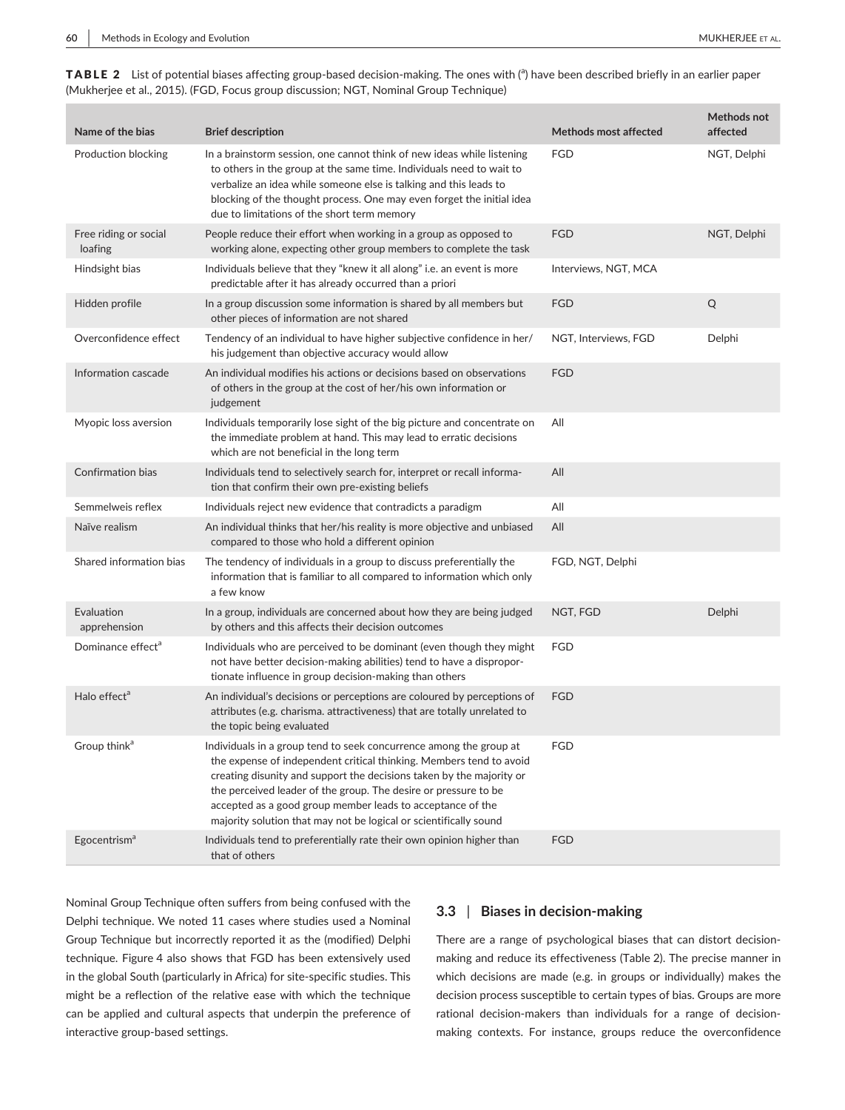| Name of the bias                 | <b>Brief description</b>                                                                                                                                                                                                                                                                                                                                                                                                | Methods most affected | Methods not<br>affected |
|----------------------------------|-------------------------------------------------------------------------------------------------------------------------------------------------------------------------------------------------------------------------------------------------------------------------------------------------------------------------------------------------------------------------------------------------------------------------|-----------------------|-------------------------|
| Production blocking              | In a brainstorm session, one cannot think of new ideas while listening<br>to others in the group at the same time. Individuals need to wait to<br>verbalize an idea while someone else is talking and this leads to<br>blocking of the thought process. One may even forget the initial idea<br>due to limitations of the short term memory                                                                             | <b>FGD</b>            | NGT, Delphi             |
| Free riding or social<br>loafing | People reduce their effort when working in a group as opposed to<br>working alone, expecting other group members to complete the task                                                                                                                                                                                                                                                                                   | <b>FGD</b>            | NGT, Delphi             |
| Hindsight bias                   | Individuals believe that they "knew it all along" i.e. an event is more<br>predictable after it has already occurred than a priori                                                                                                                                                                                                                                                                                      | Interviews, NGT, MCA  |                         |
| Hidden profile                   | In a group discussion some information is shared by all members but<br>other pieces of information are not shared                                                                                                                                                                                                                                                                                                       | <b>FGD</b>            | Q                       |
| Overconfidence effect            | Tendency of an individual to have higher subjective confidence in her/<br>his judgement than objective accuracy would allow                                                                                                                                                                                                                                                                                             | NGT, Interviews, FGD  | Delphi                  |
| Information cascade              | An individual modifies his actions or decisions based on observations<br>of others in the group at the cost of her/his own information or<br>judgement                                                                                                                                                                                                                                                                  | <b>FGD</b>            |                         |
| Myopic loss aversion             | Individuals temporarily lose sight of the big picture and concentrate on<br>the immediate problem at hand. This may lead to erratic decisions<br>which are not beneficial in the long term                                                                                                                                                                                                                              | All                   |                         |
| Confirmation bias                | Individuals tend to selectively search for, interpret or recall informa-<br>tion that confirm their own pre-existing beliefs                                                                                                                                                                                                                                                                                            | All                   |                         |
| Semmelweis reflex                | Individuals reject new evidence that contradicts a paradigm                                                                                                                                                                                                                                                                                                                                                             | All                   |                         |
| Naïve realism                    | An individual thinks that her/his reality is more objective and unbiased<br>compared to those who hold a different opinion                                                                                                                                                                                                                                                                                              | All                   |                         |
| Shared information bias          | The tendency of individuals in a group to discuss preferentially the<br>information that is familiar to all compared to information which only<br>a few know                                                                                                                                                                                                                                                            | FGD, NGT, Delphi      |                         |
| Evaluation<br>apprehension       | In a group, individuals are concerned about how they are being judged<br>by others and this affects their decision outcomes                                                                                                                                                                                                                                                                                             | NGT, FGD              | Delphi                  |
| Dominance effect <sup>a</sup>    | Individuals who are perceived to be dominant (even though they might<br>not have better decision-making abilities) tend to have a dispropor-<br>tionate influence in group decision-making than others                                                                                                                                                                                                                  | FGD                   |                         |
| Halo effect <sup>a</sup>         | An individual's decisions or perceptions are coloured by perceptions of<br>attributes (e.g. charisma. attractiveness) that are totally unrelated to<br>the topic being evaluated                                                                                                                                                                                                                                        | <b>FGD</b>            |                         |
| Group think <sup>a</sup>         | Individuals in a group tend to seek concurrence among the group at<br>the expense of independent critical thinking. Members tend to avoid<br>creating disunity and support the decisions taken by the majority or<br>the perceived leader of the group. The desire or pressure to be<br>accepted as a good group member leads to acceptance of the<br>majority solution that may not be logical or scientifically sound | FGD                   |                         |
| Egocentrism <sup>a</sup>         | Individuals tend to preferentially rate their own opinion higher than<br>that of others                                                                                                                                                                                                                                                                                                                                 | <b>FGD</b>            |                         |

**TABLE 2** List of potential biases affecting group-based decision-making. The ones with  $\binom{a}{1}$  have been described briefly in an earlier paper (Mukherjee et al., 2015). (FGD, Focus group discussion; NGT, Nominal Group Technique)

Nominal Group Technique often suffers from being confused with the Delphi technique. We noted 11 cases where studies used a Nominal Group Technique but incorrectly reported it as the (modified) Delphi technique. Figure 4 also shows that FGD has been extensively used in the global South (particularly in Africa) for site-specific studies. This might be a reflection of the relative ease with which the technique can be applied and cultural aspects that underpin the preference of interactive group-based settings.

# **3.3** | **Biases in decision-making**

There are a range of psychological biases that can distort decisionmaking and reduce its effectiveness (Table 2). The precise manner in which decisions are made (e.g. in groups or individually) makes the decision process susceptible to certain types of bias. Groups are more rational decision-makers than individuals for a range of decisionmaking contexts. For instance, groups reduce the overconfidence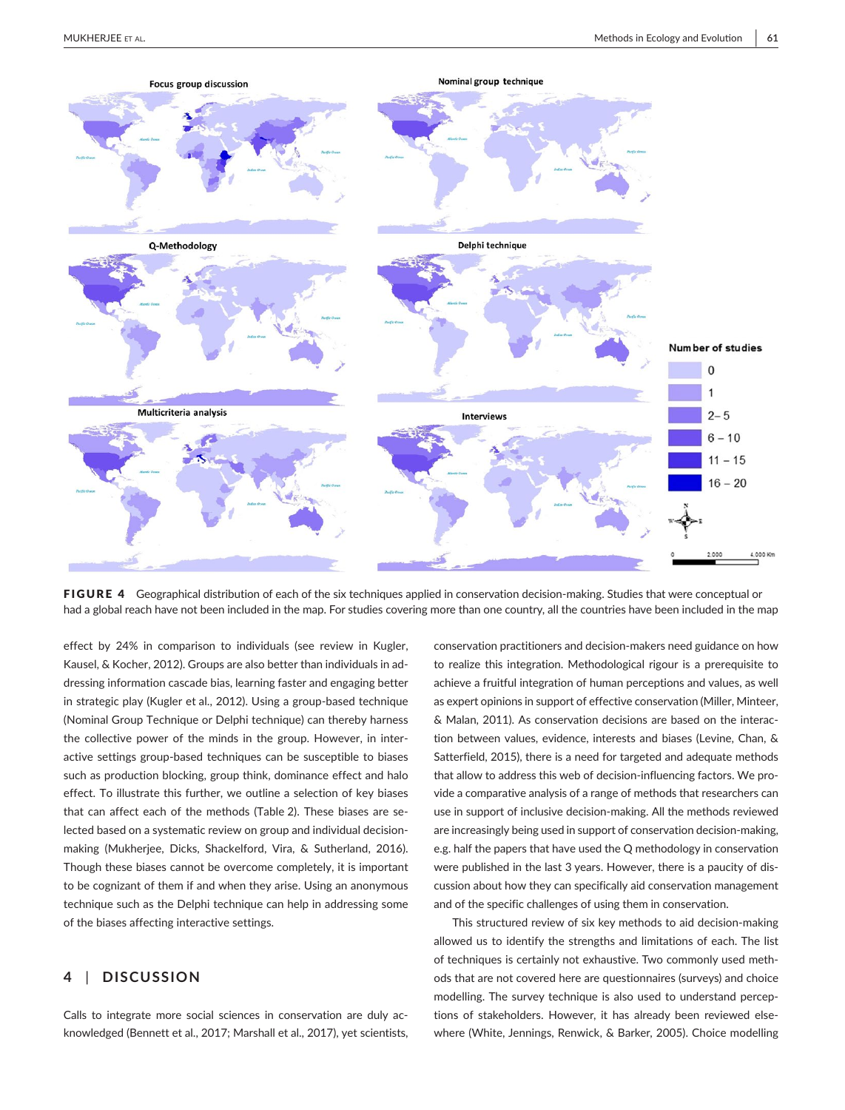

FIGURE 4 Geographical distribution of each of the six techniques applied in conservation decision-making. Studies that were conceptual or had a global reach have not been included in the map. For studies covering more than one country, all the countries have been included in the map

effect by 24% in comparison to individuals (see review in Kugler, Kausel, & Kocher, 2012). Groups are also better than individuals in addressing information cascade bias, learning faster and engaging better in strategic play (Kugler et al., 2012). Using a group-based technique (Nominal Group Technique or Delphi technique) can thereby harness the collective power of the minds in the group. However, in interactive settings group-based techniques can be susceptible to biases such as production blocking, group think, dominance effect and halo effect. To illustrate this further, we outline a selection of key biases that can affect each of the methods (Table 2). These biases are selected based on a systematic review on group and individual decisionmaking (Mukherjee, Dicks, Shackelford, Vira, & Sutherland, 2016). Though these biases cannot be overcome completely, it is important to be cognizant of them if and when they arise. Using an anonymous technique such as the Delphi technique can help in addressing some of the biases affecting interactive settings.

# **4** | **DISCUSSION**

Calls to integrate more social sciences in conservation are duly acknowledged (Bennett et al., 2017; Marshall et al., 2017), yet scientists, conservation practitioners and decision-makers need guidance on how to realize this integration. Methodological rigour is a prerequisite to achieve a fruitful integration of human perceptions and values, as well as expert opinions in support of effective conservation (Miller, Minteer, & Malan, 2011). As conservation decisions are based on the interaction between values, evidence, interests and biases (Levine, Chan, & Satterfield, 2015), there is a need for targeted and adequate methods that allow to address this web of decision-influencing factors. We provide a comparative analysis of a range of methods that researchers can use in support of inclusive decision-making. All the methods reviewed are increasingly being used in support of conservation decision-making, e.g. half the papers that have used the Q methodology in conservation were published in the last 3 years. However, there is a paucity of discussion about how they can specifically aid conservation management and of the specific challenges of using them in conservation.

This structured review of six key methods to aid decision-making allowed us to identify the strengths and limitations of each. The list of techniques is certainly not exhaustive. Two commonly used methods that are not covered here are questionnaires (surveys) and choice modelling. The survey technique is also used to understand perceptions of stakeholders. However, it has already been reviewed elsewhere (White, Jennings, Renwick, & Barker, 2005). Choice modelling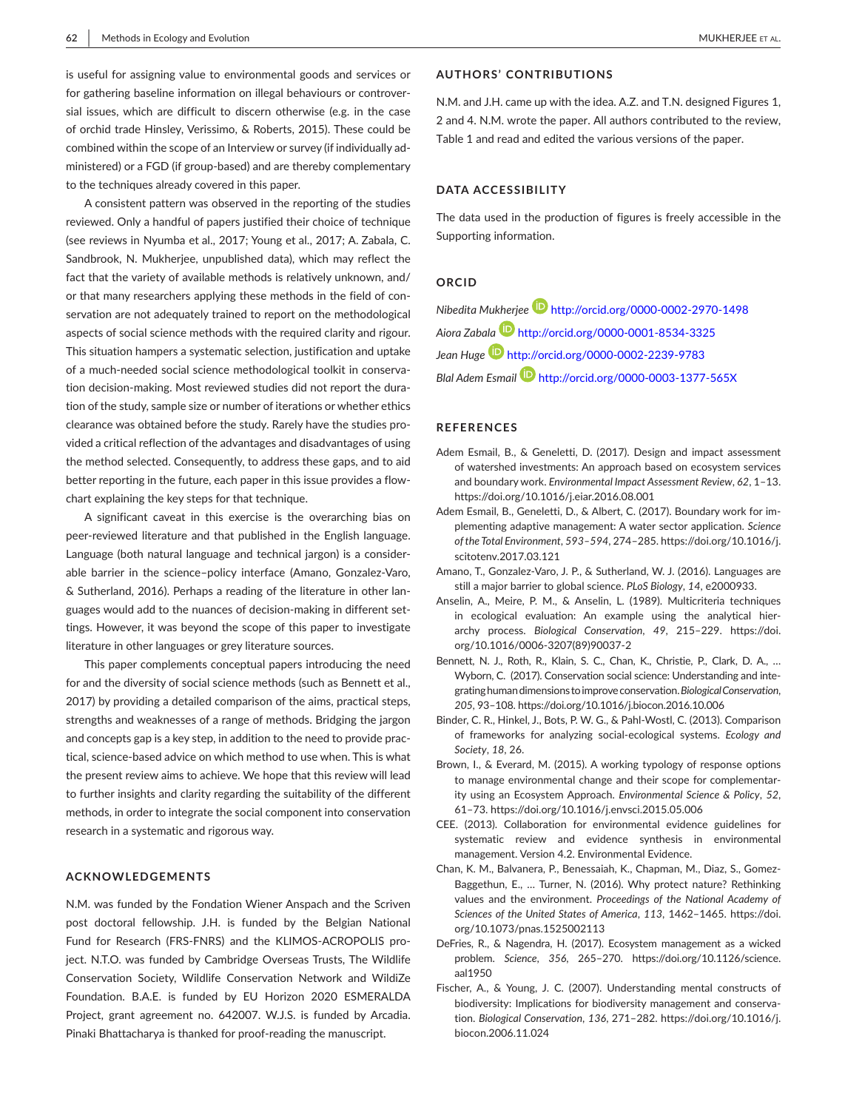is useful for assigning value to environmental goods and services or for gathering baseline information on illegal behaviours or controversial issues, which are difficult to discern otherwise (e.g. in the case of orchid trade Hinsley, Verissimo, & Roberts, 2015). These could be combined within the scope of an Interview or survey (if individually administered) or a FGD (if group-based) and are thereby complementary to the techniques already covered in this paper.

A consistent pattern was observed in the reporting of the studies reviewed. Only a handful of papers justified their choice of technique (see reviews in Nyumba et al., 2017; Young et al., 2017; A. Zabala, C. Sandbrook, N. Mukherjee, unpublished data), which may reflect the fact that the variety of available methods is relatively unknown, and/ or that many researchers applying these methods in the field of conservation are not adequately trained to report on the methodological aspects of social science methods with the required clarity and rigour. This situation hampers a systematic selection, justification and uptake of a much-needed social science methodological toolkit in conservation decision-making. Most reviewed studies did not report the duration of the study, sample size or number of iterations or whether ethics clearance was obtained before the study. Rarely have the studies provided a critical reflection of the advantages and disadvantages of using the method selected. Consequently, to address these gaps, and to aid better reporting in the future, each paper in this issue provides a flowchart explaining the key steps for that technique.

A significant caveat in this exercise is the overarching bias on peer-reviewed literature and that published in the English language. Language (both natural language and technical jargon) is a considerable barrier in the science–policy interface (Amano, Gonzalez-Varo, & Sutherland, 2016). Perhaps a reading of the literature in other languages would add to the nuances of decision-making in different settings. However, it was beyond the scope of this paper to investigate literature in other languages or grey literature sources.

This paper complements conceptual papers introducing the need for and the diversity of social science methods (such as Bennett et al., 2017) by providing a detailed comparison of the aims, practical steps, strengths and weaknesses of a range of methods. Bridging the jargon and concepts gap is a key step, in addition to the need to provide practical, science-based advice on which method to use when. This is what the present review aims to achieve. We hope that this review will lead to further insights and clarity regarding the suitability of the different methods, in order to integrate the social component into conservation research in a systematic and rigorous way.

## **ACKNOWLEDGEMENTS**

N.M. was funded by the Fondation Wiener Anspach and the Scriven post doctoral fellowship. J.H. is funded by the Belgian National Fund for Research (FRS-FNRS) and the KLIMOS-ACROPOLIS project. N.T.O. was funded by Cambridge Overseas Trusts, The Wildlife Conservation Society, Wildlife Conservation Network and WildiZe Foundation. B.A.E. is funded by EU Horizon 2020 ESMERALDA Project, grant agreement no. 642007. W.J.S. is funded by Arcadia. Pinaki Bhattacharya is thanked for proof-reading the manuscript.

## **AUTHORS' CONTRIBUTIONS**

N.M. and J.H. came up with the idea. A.Z. and T.N. designed Figures 1, 2 and 4. N.M. wrote the paper. All authors contributed to the review, Table 1 and read and edited the various versions of the paper.

## **DATA ACCESSIBILITY**

The data used in the production of figures is freely accessible in the Supporting information.

## **ORCID**

*Nibedita Mukherjee* <http://orcid.org/0000-0002-2970-1498> *Aiora Zabala* <http://orcid.org/0000-0001-8534-3325> *Jean Hug[e](http://orcid.org/0000-0002-2239-9783)* <http://orcid.org/0000-0002-2239-9783> *Blal Adem Esmail* <http://orcid.org/0000-0003-1377-565X>

#### **REFERENCES**

- Adem Esmail, B., & Geneletti, D. (2017). Design and impact assessment of watershed investments: An approach based on ecosystem services and boundary work. *Environmental Impact Assessment Review*, *62*, 1–13. <https://doi.org/10.1016/j.eiar.2016.08.001>
- Adem Esmail, B., Geneletti, D., & Albert, C. (2017). Boundary work for implementing adaptive management: A water sector application. *Science of the Total Environment*, *593–594*, 274–285. [https://doi.org/10.1016/j.](https://doi.org/10.1016/j.scitotenv.2017.03.121) [scitotenv.2017.03.121](https://doi.org/10.1016/j.scitotenv.2017.03.121)
- Amano, T., Gonzalez-Varo, J. P., & Sutherland, W. J. (2016). Languages are still a major barrier to global science. *PLoS Biology*, *14*, e2000933.
- Anselin, A., Meire, P. M., & Anselin, L. (1989). Multicriteria techniques in ecological evaluation: An example using the analytical hierarchy process. *Biological Conservation*, *49*, 215–229. [https://doi.](https://doi.org/10.1016/0006-3207(89)90037-2) [org/10.1016/0006-3207\(89\)90037-2](https://doi.org/10.1016/0006-3207(89)90037-2)
- Bennett, N. J., Roth, R., Klain, S. C., Chan, K., Christie, P., Clark, D. A., … Wyborn, C. (2017). Conservation social science: Understanding and integrating human dimensions to improve conservation. *Biological Conservation*, *205*, 93–108.<https://doi.org/10.1016/j.biocon.2016.10.006>
- Binder, C. R., Hinkel, J., Bots, P. W. G., & Pahl-Wostl, C. (2013). Comparison of frameworks for analyzing social-ecological systems. *Ecology and Society*, *18*, 26.
- Brown, I., & Everard, M. (2015). A working typology of response options to manage environmental change and their scope for complementarity using an Ecosystem Approach. *Environmental Science & Policy*, *52*, 61–73. <https://doi.org/10.1016/j.envsci.2015.05.006>
- CEE. (2013). Collaboration for environmental evidence guidelines for systematic review and evidence synthesis in environmental management. Version 4.2. Environmental Evidence.
- Chan, K. M., Balvanera, P., Benessaiah, K., Chapman, M., Diaz, S., Gomez-Baggethun, E., … Turner, N. (2016). Why protect nature? Rethinking values and the environment. *Proceedings of the National Academy of Sciences of the United States of America*, *113*, 1462–1465. [https://doi.](https://doi.org/10.1073/pnas.1525002113) [org/10.1073/pnas.1525002113](https://doi.org/10.1073/pnas.1525002113)
- DeFries, R., & Nagendra, H. (2017). Ecosystem management as a wicked problem. *Science*, *356*, 265–270. [https://doi.org/10.1126/science.](https://doi.org/10.1126/science.aal1950) [aal1950](https://doi.org/10.1126/science.aal1950)
- Fischer, A., & Young, J. C. (2007). Understanding mental constructs of biodiversity: Implications for biodiversity management and conservation. *Biological Conservation*, *136*, 271–282. [https://doi.org/10.1016/j.](https://doi.org/10.1016/j.biocon.2006.11.024) [biocon.2006.11.024](https://doi.org/10.1016/j.biocon.2006.11.024)